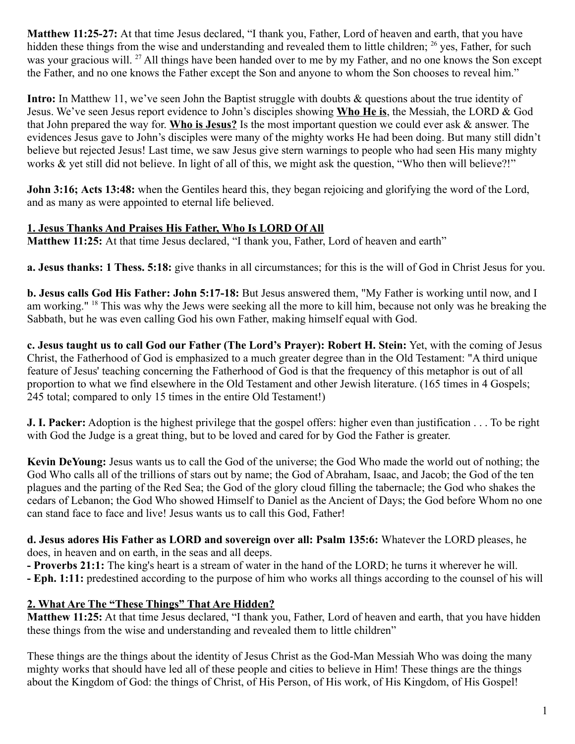**Matthew 11:25-27:** At that time Jesus declared, "I thank you, Father, Lord of heaven and earth, that you have hidden these things from the wise and understanding and revealed them to little children; <sup>26</sup> yes, Father, for such was your gracious will. <sup>27</sup> All things have been handed over to me by my Father, and no one knows the Son except the Father, and no one knows the Father except the Son and anyone to whom the Son chooses to reveal him."

**Intro:** In Matthew 11, we've seen John the Baptist struggle with doubts & questions about the true identity of Jesus. We've seen Jesus report evidence to John's disciples showing **Who He is**, the Messiah, the LORD & God that John prepared the way for. **Who is Jesus?** Is the most important question we could ever ask & answer. The evidences Jesus gave to John's disciples were many of the mighty works He had been doing. But many still didn't believe but rejected Jesus! Last time, we saw Jesus give stern warnings to people who had seen His many mighty works & yet still did not believe. In light of all of this, we might ask the question, "Who then will believe?!"

**John 3:16; Acts 13:48:** when the Gentiles heard this, they began rejoicing and glorifying the word of the Lord, and as many as were appointed to eternal life believed.

# **1. Jesus Thanks And Praises His Father, Who Is LORD Of All**

**Matthew 11:25:** At that time Jesus declared, "I thank you, Father, Lord of heaven and earth"

**a. Jesus thanks: 1 Thess. 5:18:** give thanks in all circumstances; for this is the will of God in Christ Jesus for you.

**b. Jesus calls God His Father: John 5:17-18:** But Jesus answered them, "My Father is working until now, and I am working." <sup>18</sup> This was why the Jews were seeking all the more to kill him, because not only was he breaking the Sabbath, but he was even calling God his own Father, making himself equal with God.

**c. Jesus taught us to call God our Father (The Lord's Prayer): Robert H. Stein:** Yet, with the coming of Jesus Christ, the Fatherhood of God is emphasized to a much greater degree than in the Old Testament: "A third unique feature of Jesus' teaching concerning the Fatherhood of God is that the frequency of this metaphor is out of all proportion to what we find elsewhere in the Old Testament and other Jewish literature. (165 times in 4 Gospels; 245 total; compared to only 15 times in the entire Old Testament!)

**J. I. Packer:** Adoption is the highest privilege that the gospel offers: higher even than justification . . . To be right with God the Judge is a great thing, but to be loved and cared for by God the Father is greater.

**Kevin DeYoung:** Jesus wants us to call the God of the universe; the God Who made the world out of nothing; the God Who calls all of the trillions of stars out by name; the God of Abraham, Isaac, and Jacob; the God of the ten plagues and the parting of the Red Sea; the God of the glory cloud filling the tabernacle; the God who shakes the cedars of Lebanon; the God Who showed Himself to Daniel as the Ancient of Days; the God before Whom no one can stand face to face and live! Jesus wants us to call this God, Father!

**d. Jesus adores His Father as LORD and sovereign over all: Psalm 135:6:** Whatever the LORD pleases, he does, in heaven and on earth, in the seas and all deeps.

**- Proverbs 21:1:** The king's heart is a stream of water in the hand of the LORD; he turns it wherever he will.

**- Eph. 1:11:** predestined according to the purpose of him who works all things according to the counsel of his will

## **2. What Are The "These Things" That Are Hidden?**

**Matthew 11:25:** At that time Jesus declared, "I thank you, Father, Lord of heaven and earth, that you have hidden these things from the wise and understanding and revealed them to little children"

These things are the things about the identity of Jesus Christ as the God-Man Messiah Who was doing the many mighty works that should have led all of these people and cities to believe in Him! These things are the things about the Kingdom of God: the things of Christ, of His Person, of His work, of His Kingdom, of His Gospel!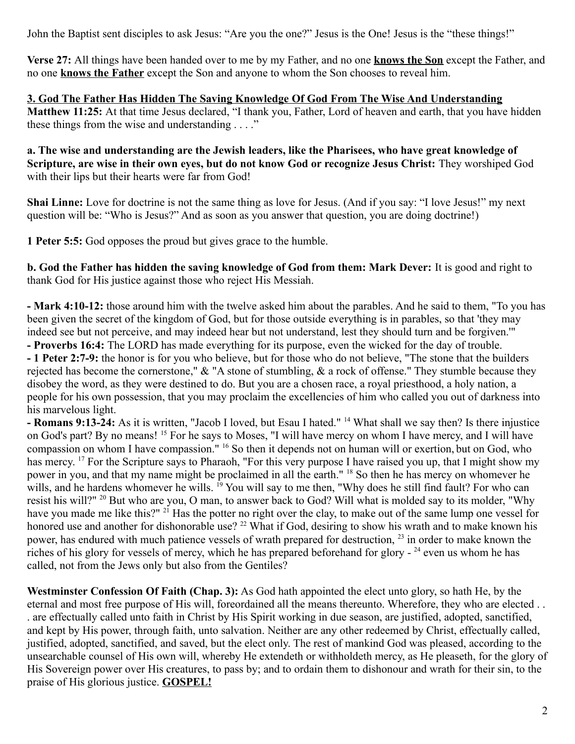John the Baptist sent disciples to ask Jesus: "Are you the one?" Jesus is the One! Jesus is the "these things!"

**Verse 27:** All things have been handed over to me by my Father, and no one **knows the Son** except the Father, and no one **knows the Father** except the Son and anyone to whom the Son chooses to reveal him.

**3. God The Father Has Hidden The Saving Knowledge Of God From The Wise And Understanding Matthew 11:25:** At that time Jesus declared, "I thank you, Father, Lord of heaven and earth, that you have hidden these things from the wise and understanding . . . ."

**a. The wise and understanding are the Jewish leaders, like the Pharisees, who have great knowledge of Scripture, are wise in their own eyes, but do not know God or recognize Jesus Christ:** They worshiped God with their lips but their hearts were far from God!

**Shai Linne:** Love for doctrine is not the same thing as love for Jesus. (And if you say: "I love Jesus!" my next question will be: "Who is Jesus?" And as soon as you answer that question, you are doing doctrine!)

**1 Peter 5:5:** God opposes the proud but gives grace to the humble.

**b. God the Father has hidden the saving knowledge of God from them: Mark Dever:** It is good and right to thank God for His justice against those who reject His Messiah.

**- Mark 4:10-12:** those around him with the twelve asked him about the parables. And he said to them, "To you has been given the secret of the kingdom of God, but for those outside everything is in parables, so that 'they may indeed see but not perceive, and may indeed hear but not understand, lest they should turn and be forgiven.'"

**- Proverbs 16:4:** The LORD has made everything for its purpose, even the wicked for the day of trouble. **- 1 Peter 2:7-9:** the honor is for you who believe, but for those who do not believe, "The stone that the builders rejected has become the cornerstone,"  $\&$  "A stone of stumbling,  $\&$  a rock of offense." They stumble because they disobey the word, as they were destined to do. But you are a chosen race, a royal priesthood, a holy nation, a people for his own possession, that you may proclaim the excellencies of him who called you out of darkness into his marvelous light.

**- Romans 9:13-24:** As it is written, "Jacob I loved, but Esau I hated." <sup>14</sup> What shall we say then? Is there injustice on God's part? By no means!<sup>15</sup> For he says to Moses, "I will have mercy on whom I have mercy, and I will have compassion on whom I have compassion." <sup>16</sup> So then it depends not on human will or exertion, but on God, who has mercy. <sup>17</sup> For the Scripture says to Pharaoh, "For this very purpose I have raised you up, that I might show my power in you, and that my name might be proclaimed in all the earth." <sup>18</sup> So then he has mercy on whomever he wills, and he hardens whomever he wills. <sup>19</sup> You will say to me then, "Why does he still find fault? For who can resist his will?" <sup>20</sup> But who are you, O man, to answer back to God? Will what is molded say to its molder, "Why have you made me like this?" <sup>21</sup> Has the potter no right over the clay, to make out of the same lump one vessel for honored use and another for dishonorable use? <sup>22</sup> What if God, desiring to show his wrath and to make known his power, has endured with much patience vessels of wrath prepared for destruction, <sup>23</sup> in order to make known the riches of his glory for vessels of mercy, which he has prepared beforehand for glory - <sup>24</sup> even us whom he has called, not from the Jews only but also from the Gentiles?

**Westminster Confession Of Faith (Chap. 3):** As God hath appointed the elect unto glory, so hath He, by the eternal and most free purpose of His will, foreordained all the means thereunto. Wherefore, they who are elected . . . are effectually called unto faith in Christ by His Spirit working in due season, are justified, adopted, sanctified, and kept by His power, through faith, unto salvation. Neither are any other redeemed by Christ, effectually called, justified, adopted, sanctified, and saved, but the elect only. The rest of mankind God was pleased, according to the unsearchable counsel of His own will, whereby He extendeth or withholdeth mercy, as He pleaseth, for the glory of His Sovereign power over His creatures, to pass by; and to ordain them to dishonour and wrath for their sin, to the praise of His glorious justice. **GOSPEL!**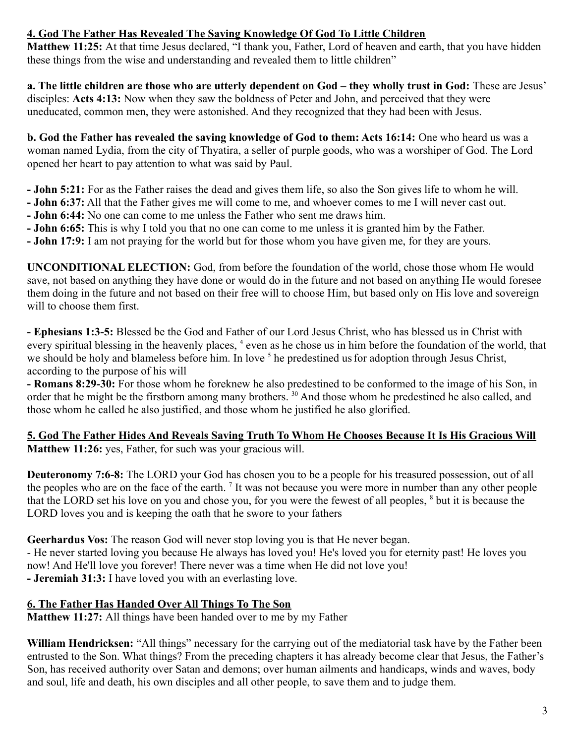# **4. God The Father Has Revealed The Saving Knowledge Of God To Little Children**

**Matthew 11:25:** At that time Jesus declared, "I thank you, Father, Lord of heaven and earth, that you have hidden these things from the wise and understanding and revealed them to little children"

**a. The little children are those who are utterly dependent on God – they wholly trust in God:** These are Jesus' disciples: **Acts 4:13:** Now when they saw the boldness of Peter and John, and perceived that they were uneducated, common men, they were astonished. And they recognized that they had been with Jesus.

**b. God the Father has revealed the saving knowledge of God to them: Acts 16:14:** One who heard us was a woman named Lydia, from the city of Thyatira, a seller of purple goods, who was a worshiper of God. The Lord opened her heart to pay attention to what was said by Paul.

- **John 5:21:** For as the Father raises the dead and gives them life, so also the Son gives life to whom he will.
- **John 6:37:** All that the Father gives me will come to me, and whoever comes to me I will never cast out.
- **John 6:44:** No one can come to me unless the Father who sent me draws him.
- **John 6:65:** This is why I told you that no one can come to me unless it is granted him by the Father.
- **John 17:9:** I am not praying for the world but for those whom you have given me, for they are yours.

**UNCONDITIONAL ELECTION:** God, from before the foundation of the world, chose those whom He would save, not based on anything they have done or would do in the future and not based on anything He would foresee them doing in the future and not based on their free will to choose Him, but based only on His love and sovereign will to choose them first.

**- Ephesians 1:3-5:** Blessed be the God and Father of our Lord Jesus Christ, who has blessed us in Christ with every spiritual blessing in the heavenly places, <sup>4</sup> even as he chose us in him before the foundation of the world, that we should be holy and blameless before him. In love  $<sup>5</sup>$  he predestined us for adoption through Jesus Christ,</sup> according to the purpose of his will

**- Romans 8:29-30:** For those whom he foreknew he also predestined to be conformed to the image of his Son, in order that he might be the firstborn among many brothers. <sup>30</sup> And those whom he predestined he also called, and those whom he called he also justified, and those whom he justified he also glorified.

**5. God The Father Hides And Reveals Saving Truth To Whom He Chooses Because It Is His Gracious Will Matthew 11:26:** yes, Father, for such was your gracious will.

**Deuteronomy 7:6-8:** The LORD your God has chosen you to be a people for his treasured possession, out of all the peoples who are on the face of the earth. <sup>7</sup> It was not because you were more in number than any other people that the LORD set his love on you and chose you, for you were the fewest of all peoples, <sup>8</sup> but it is because the LORD loves you and is keeping the oath that he swore to your fathers

**Geerhardus Vos:** The reason God will never stop loving you is that He never began.

- He never started loving you because He always has loved you! He's loved you for eternity past! He loves you now! And He'll love you forever! There never was a time when He did not love you! **- Jeremiah 31:3:** I have loved you with an everlasting love.

## **6. The Father Has Handed Over All Things To The Son**

**Matthew 11:27:** All things have been handed over to me by my Father

**William Hendricksen:** "All things" necessary for the carrying out of the mediatorial task have by the Father been entrusted to the Son. What things? From the preceding chapters it has already become clear that Jesus, the Father's Son, has received authority over Satan and demons; over human ailments and handicaps, winds and waves, body and soul, life and death, his own disciples and all other people, to save them and to judge them.